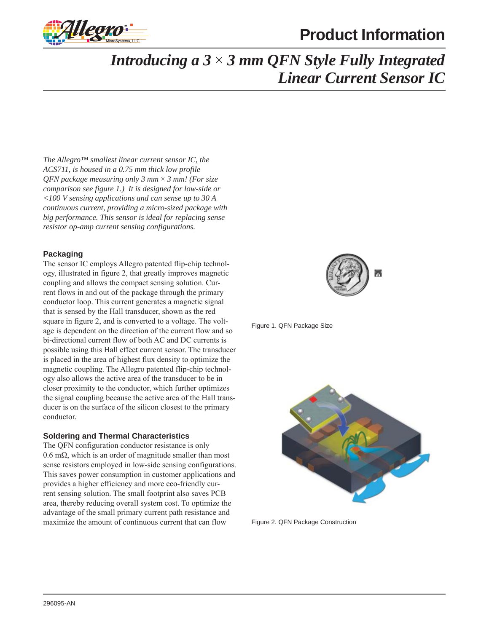

# **Product Information**

## *Introducing a 3* × *3 mm QFN Style Fully Integrated Linear Current Sensor IC*

*The Allegro™ smallest linear current sensor IC, the ACS711, is housed in a 0.75 mm thick low profile QFN package measuring only 3 mm* × *3 mm! (For size comparison see figure 1.) It is designed for low-side or <100 V sensing applications and can sense up to 30 A continuous current, providing a micro-sized package with big performance. This sensor is ideal for replacing sense resistor op-amp current sensing configurations.*

## **Packaging**

The sensor IC employs Allegro patented flip-chip technology, illustrated in figure 2, that greatly improves magnetic coupling and allows the compact sensing solution. Current flows in and out of the package through the primary conductor loop. This current generates a magnetic signal that is sensed by the Hall transducer, shown as the red square in figure 2, and is converted to a voltage. The voltage is dependent on the direction of the current flow and so bi-directional current flow of both AC and DC currents is possible using this Hall effect current sensor. The transducer is placed in the area of highest flux density to optimize the magnetic coupling. The Allegro patented flip-chip technology also allows the active area of the transducer to be in closer proximity to the conductor, which further optimizes the signal coupling because the active area of the Hall transducer is on the surface of the silicon closest to the primary conductor.

#### **Soldering and Thermal Characteristics**

The QFN configuration conductor resistance is only 0.6 mΩ, which is an order of magnitude smaller than most sense resistors employed in low-side sensing configurations. This saves power consumption in customer applications and provides a higher efficiency and more eco-friendly current sensing solution. The small footprint also saves PCB area, thereby reducing overall system cost. To optimize the advantage of the small primary current path resistance and maximize the amount of continuous current that can flow



Figure 1. QFN Package Size



Figure 2. QFN Package Construction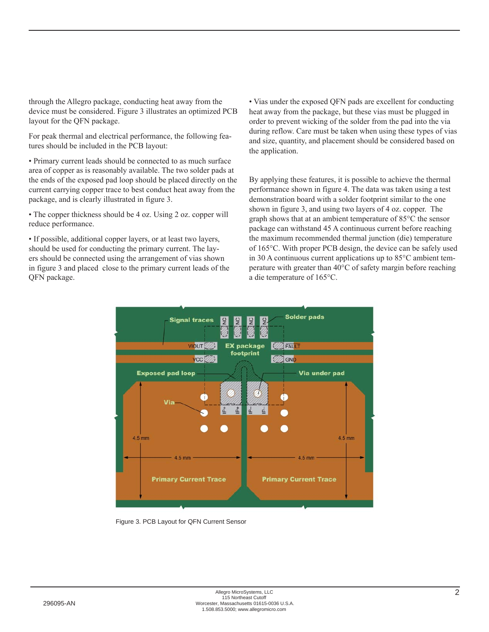through the Allegro package, conducting heat away from the device must be considered. Figure 3 illustrates an optimized PCB layout for the QFN package.

For peak thermal and electrical performance, the following features should be included in the PCB layout:

• Primary current leads should be connected to as much surface area of copper as is reasonably available. The two solder pads at the ends of the exposed pad loop should be placed directly on the current carrying copper trace to best conduct heat away from the package, and is clearly illustrated in figure 3.

• The copper thickness should be 4 oz. Using 2 oz. copper will reduce performance.

• If possible, additional copper layers, or at least two layers, should be used for conducting the primary current. The layers should be connected using the arrangement of vias shown in figure 3 and placed close to the primary current leads of the QFN package.

• Vias under the exposed QFN pads are excellent for conducting heat away from the package, but these vias must be plugged in order to prevent wicking of the solder from the pad into the via during reflow. Care must be taken when using these types of vias and size, quantity, and placement should be considered based on the application.

By applying these features, it is possible to achieve the thermal performance shown in figure 4. The data was taken using a test demonstration board with a solder footprint similar to the one shown in figure 3, and using two layers of 4 oz. copper. The graph shows that at an ambient temperature of 85°C the sensor package can withstand 45 A continuous current before reaching the maximum recommended thermal junction (die) temperature of 165°C. With proper PCB design, the device can be safely used in 30 A continuous current applications up to 85°C ambient temperature with greater than 40°C of safety margin before reaching a die temperature of 165°C.



Figure 3. PCB Layout for QFN Current Sensor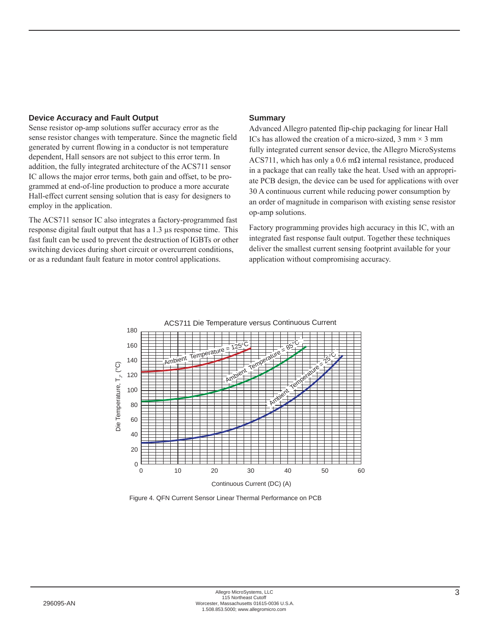#### **Device Accuracy and Fault Output**

Sense resistor op-amp solutions suffer accuracy error as the sense resistor changes with temperature. Since the magnetic field generated by current flowing in a conductor is not temperature dependent, Hall sensors are not subject to this error term. In addition, the fully integrated architecture of the ACS711 sensor IC allows the major error terms, both gain and offset, to be programmed at end-of-line production to produce a more accurate Hall-effect current sensing solution that is easy for designers to employ in the application.

The ACS711 sensor IC also integrates a factory-programmed fast response digital fault output that has a 1.3 μs response time. This fast fault can be used to prevent the destruction of IGBTs or other switching devices during short circuit or overcurrent conditions, or as a redundant fault feature in motor control applications.

### **Summary**

Advanced Allegro patented flip-chip packaging for linear Hall ICs has allowed the creation of a micro-sized,  $3 \text{ mm} \times 3 \text{ mm}$ fully integrated current sensor device, the Allegro MicroSystems ACS711, which has only a  $0.6 \text{ m}\Omega$  internal resistance, produced in a package that can really take the heat. Used with an appropriate PCB design, the device can be used for applications with over 30 A continuous current while reducing power consumption by an order of magnitude in comparison with existing sense resistor op-amp solutions.

Factory programming provides high accuracy in this IC, with an integrated fast response fault output. Together these techniques deliver the smallest current sensing footprint available for your application without compromising accuracy.



Figure 4. QFN Current Sensor Linear Thermal Performance on PCB